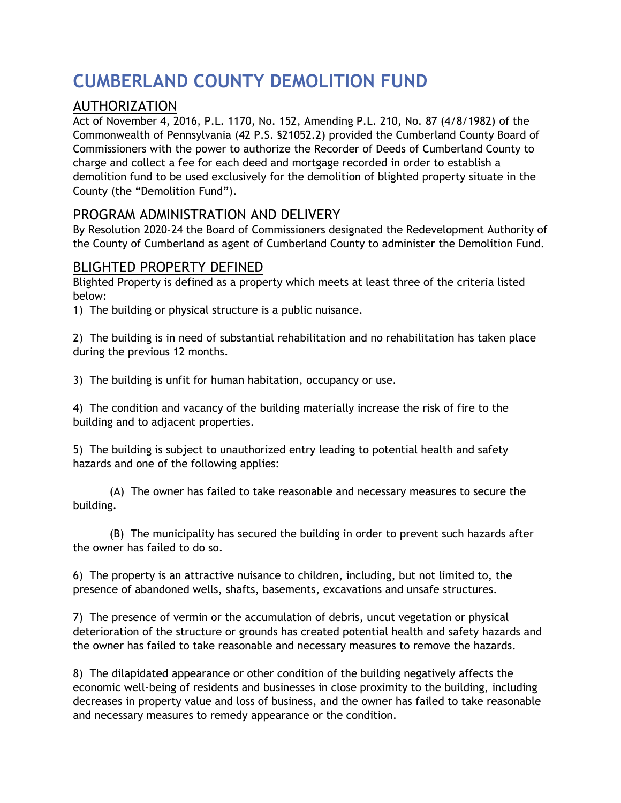# **CUMBERLAND COUNTY DEMOLITION FUND**

## AUTHORIZATION

Act of November 4, 2016, P.L. 1170, No. 152, Amending P.L. 210, No. 87 (4/8/1982) of the Commonwealth of Pennsylvania (42 P.S. §21052.2) provided the Cumberland County Board of Commissioners with the power to authorize the Recorder of Deeds of Cumberland County to charge and collect a fee for each deed and mortgage recorded in order to establish a demolition fund to be used exclusively for the demolition of blighted property situate in the County (the "Demolition Fund").

## PROGRAM ADMINISTRATION AND DELIVERY

By Resolution 2020-24 the Board of Commissioners designated the Redevelopment Authority of the County of Cumberland as agent of Cumberland County to administer the Demolition Fund.

## BLIGHTED PROPERTY DEFINED

Blighted Property is defined as a property which meets at least three of the criteria listed below:

1) The building or physical structure is a public nuisance.

2) The building is in need of substantial rehabilitation and no rehabilitation has taken place during the previous 12 months.

3) The building is unfit for human habitation, occupancy or use.

4) The condition and vacancy of the building materially increase the risk of fire to the building and to adjacent properties.

5) The building is subject to unauthorized entry leading to potential health and safety hazards and one of the following applies:

(A) The owner has failed to take reasonable and necessary measures to secure the building.

(B) The municipality has secured the building in order to prevent such hazards after the owner has failed to do so.

6) The property is an attractive nuisance to children, including, but not limited to, the presence of abandoned wells, shafts, basements, excavations and unsafe structures.

7) The presence of vermin or the accumulation of debris, uncut vegetation or physical deterioration of the structure or grounds has created potential health and safety hazards and the owner has failed to take reasonable and necessary measures to remove the hazards.

8) The dilapidated appearance or other condition of the building negatively affects the economic well-being of residents and businesses in close proximity to the building, including decreases in property value and loss of business, and the owner has failed to take reasonable and necessary measures to remedy appearance or the condition.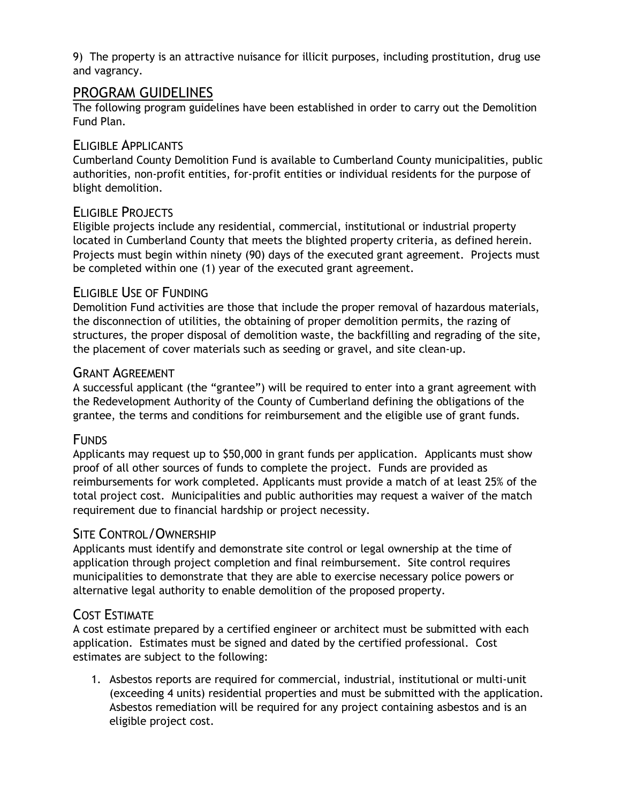9) The property is an attractive nuisance for illicit purposes, including prostitution, drug use and vagrancy.

## PROGRAM GUIDELINES

The following program guidelines have been established in order to carry out the Demolition Fund Plan.

#### ELIGIBLE APPLICANTS

Cumberland County Demolition Fund is available to Cumberland County municipalities, public authorities, non-profit entities, for-profit entities or individual residents for the purpose of blight demolition.

## ELIGIBLE PROJECTS

Eligible projects include any residential, commercial, institutional or industrial property located in Cumberland County that meets the blighted property criteria, as defined herein. Projects must begin within ninety (90) days of the executed grant agreement. Projects must be completed within one (1) year of the executed grant agreement.

#### ELIGIBLE USE OF FUNDING

Demolition Fund activities are those that include the proper removal of hazardous materials, the disconnection of utilities, the obtaining of proper demolition permits, the razing of structures, the proper disposal of demolition waste, the backfilling and regrading of the site, the placement of cover materials such as seeding or gravel, and site clean-up.

#### GRANT AGREEMENT

A successful applicant (the "grantee") will be required to enter into a grant agreement with the Redevelopment Authority of the County of Cumberland defining the obligations of the grantee, the terms and conditions for reimbursement and the eligible use of grant funds.

#### **FUNDS**

Applicants may request up to \$50,000 in grant funds per application. Applicants must show proof of all other sources of funds to complete the project. Funds are provided as reimbursements for work completed. Applicants must provide a match of at least 25% of the total project cost. Municipalities and public authorities may request a waiver of the match requirement due to financial hardship or project necessity.

## SITE CONTROL/OWNERSHIP

Applicants must identify and demonstrate site control or legal ownership at the time of application through project completion and final reimbursement. Site control requires municipalities to demonstrate that they are able to exercise necessary police powers or alternative legal authority to enable demolition of the proposed property.

## COST ESTIMATE

A cost estimate prepared by a certified engineer or architect must be submitted with each application. Estimates must be signed and dated by the certified professional. Cost estimates are subject to the following:

1. Asbestos reports are required for commercial, industrial, institutional or multi-unit (exceeding 4 units) residential properties and must be submitted with the application. Asbestos remediation will be required for any project containing asbestos and is an eligible project cost.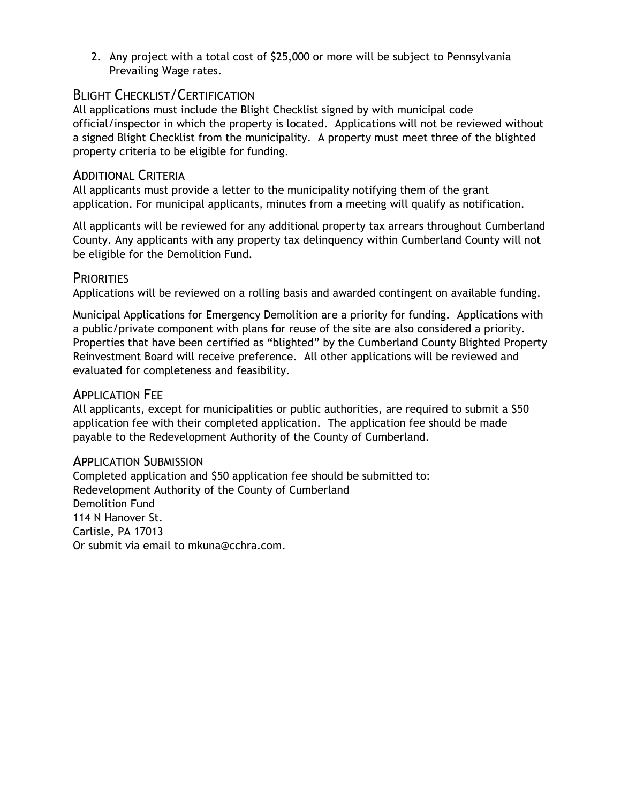2. Any project with a total cost of \$25,000 or more will be subject to Pennsylvania Prevailing Wage rates.

## BLIGHT CHECKLIST/CERTIFICATION

All applications must include the Blight Checklist signed by with municipal code official/inspector in which the property is located. Applications will not be reviewed without a signed Blight Checklist from the municipality. A property must meet three of the blighted property criteria to be eligible for funding.

#### ADDITIONAL CRITERIA

All applicants must provide a letter to the municipality notifying them of the grant application. For municipal applicants, minutes from a meeting will qualify as notification.

All applicants will be reviewed for any additional property tax arrears throughout Cumberland County. Any applicants with any property tax delinquency within Cumberland County will not be eligible for the Demolition Fund.

#### **PRIORITIES**

Applications will be reviewed on a rolling basis and awarded contingent on available funding.

Municipal Applications for Emergency Demolition are a priority for funding. Applications with a public/private component with plans for reuse of the site are also considered a priority. Properties that have been certified as "blighted" by the Cumberland County Blighted Property Reinvestment Board will receive preference. All other applications will be reviewed and evaluated for completeness and feasibility.

#### APPLICATION FEE

All applicants, except for municipalities or public authorities, are required to submit a \$50 application fee with their completed application. The application fee should be made payable to the Redevelopment Authority of the County of Cumberland.

#### APPLICATION SUBMISSION

Completed application and \$50 application fee should be submitted to: Redevelopment Authority of the County of Cumberland Demolition Fund 114 N Hanover St. Carlisle, PA 17013 Or submit via email to mkuna@cchra.com.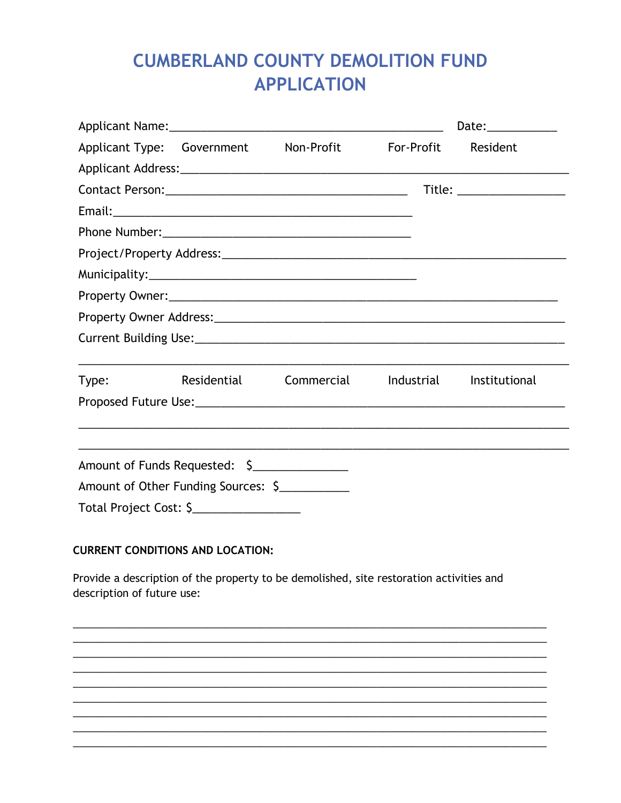# **CUMBERLAND COUNTY DEMOLITION FUND APPLICATION**

|                            |                                                                                         |  | Date: $\_$                 |
|----------------------------|-----------------------------------------------------------------------------------------|--|----------------------------|
|                            | Applicant Type: Government Non-Profit For-Profit                                        |  | Resident                   |
|                            |                                                                                         |  |                            |
|                            |                                                                                         |  | Title: ___________________ |
|                            |                                                                                         |  |                            |
|                            |                                                                                         |  |                            |
|                            |                                                                                         |  |                            |
|                            |                                                                                         |  |                            |
|                            |                                                                                         |  |                            |
|                            |                                                                                         |  |                            |
|                            |                                                                                         |  |                            |
|                            | Type: Residential Commercial Industrial Institutional                                   |  |                            |
|                            |                                                                                         |  |                            |
|                            |                                                                                         |  |                            |
|                            |                                                                                         |  |                            |
|                            | Amount of Funds Requested: \$                                                           |  |                            |
|                            | Amount of Other Funding Sources: \$                                                     |  |                            |
|                            | Total Project Cost: \$__________________                                                |  |                            |
|                            |                                                                                         |  |                            |
|                            | <b>CURRENT CONDITIONS AND LOCATION:</b>                                                 |  |                            |
| description of future use: | Provide a description of the property to be demolished, site restoration activities and |  |                            |
|                            |                                                                                         |  |                            |
|                            |                                                                                         |  |                            |
|                            |                                                                                         |  |                            |
|                            |                                                                                         |  |                            |
|                            |                                                                                         |  |                            |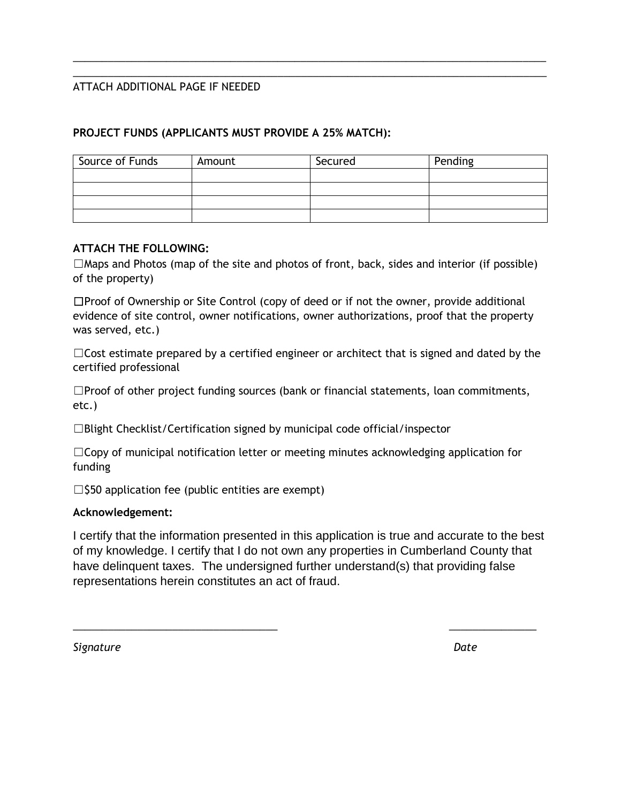#### ATTACH ADDITIONAL PAGE IF NEEDED

#### **PROJECT FUNDS (APPLICANTS MUST PROVIDE A 25% MATCH):**

| Source of Funds | Amount | Secured | Pending |
|-----------------|--------|---------|---------|
|                 |        |         |         |
|                 |        |         |         |
|                 |        |         |         |
|                 |        |         |         |

\_\_\_\_\_\_\_\_\_\_\_\_\_\_\_\_\_\_\_\_\_\_\_\_\_\_\_\_\_\_\_\_\_\_\_\_\_\_\_\_\_\_\_\_\_\_\_\_\_\_\_\_\_\_\_\_\_\_\_\_\_\_\_\_\_\_\_\_\_\_\_\_\_\_\_\_\_\_\_\_\_ \_\_\_\_\_\_\_\_\_\_\_\_\_\_\_\_\_\_\_\_\_\_\_\_\_\_\_\_\_\_\_\_\_\_\_\_\_\_\_\_\_\_\_\_\_\_\_\_\_\_\_\_\_\_\_\_\_\_\_\_\_\_\_\_\_\_\_\_\_\_\_\_\_\_\_\_\_\_\_\_\_

#### **ATTACH THE FOLLOWING:**

 $\square$ Maps and Photos (map of the site and photos of front, back, sides and interior (if possible) of the property)

☐Proof of Ownership or Site Control (copy of deed or if not the owner, provide additional evidence of site control, owner notifications, owner authorizations, proof that the property was served, etc.)

 $\Box$ Cost estimate prepared by a certified engineer or architect that is signed and dated by the certified professional

 $\square$ Proof of other project funding sources (bank or financial statements, loan commitments, etc.)

☐Blight Checklist/Certification signed by municipal code official/inspector

 $\Box$ Copy of municipal notification letter or meeting minutes acknowledging application for funding

 $\square$ \$50 application fee (public entities are exempt)

#### **Acknowledgement:**

I certify that the information presented in this application is true and accurate to the best of my knowledge. I certify that I do not own any properties in Cumberland County that have delinquent taxes. The undersigned further understand(s) that providing false representations herein constitutes an act of fraud.

\_\_\_\_\_\_\_\_\_\_\_\_\_\_\_\_\_\_\_\_\_\_\_\_\_\_\_\_\_\_\_\_\_\_\_ \_\_\_\_\_\_\_\_\_\_\_\_\_\_\_

*Signature Date*